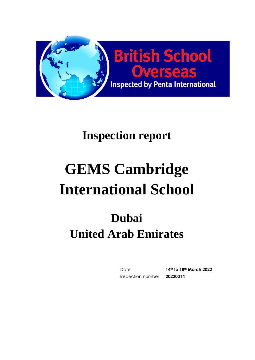

# **Inspection report**

# **GEMS Cambridge International School**

# **Dubai United Arab Emirates**

Date **14th to 18th March 2022** Inspection number **20220314**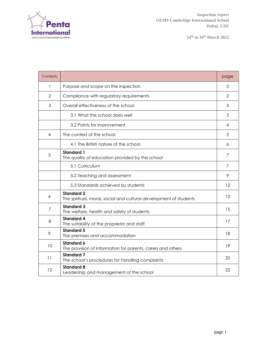

| Contents       |                                                                                        | page           |
|----------------|----------------------------------------------------------------------------------------|----------------|
| 1              | Purpose and scope on the inspection                                                    | $\overline{2}$ |
| $\overline{2}$ | Compliance with regulatory requirements                                                | $\overline{2}$ |
| 3              | Overall effectiveness of the school                                                    | 3              |
|                | 3.1 What the school does well                                                          | 3              |
|                | 3.2 Points for improvement                                                             | 4              |
| 4              | The context of the school                                                              | 5              |
|                | 4.1 The British nature of the school                                                   | 6              |
| 5              | <b>Standard 1</b><br>The quality of education provided by the school                   | 7              |
|                | 5.1 Curriculum                                                                         | 7              |
|                | 5.2 Teaching and assessment                                                            | 9              |
|                | 5.3 Standards achieved by students                                                     | 12             |
| 6              | <b>Standard 2</b><br>The spiritual, moral, social and cultural development of students | 13             |
| 7              | <b>Standard 3</b><br>The welfare, health and safety of students                        | 15             |
| 8              | <b>Standard 4</b><br>The suitability of the proprietor and staff                       | 17             |
| 9              | <b>Standard 5</b><br>The premises and accommodation                                    | 18             |
| 10             | <b>Standard 6</b><br>The provision of information for parents, carers and others       | 19             |
| 11             | <b>Standard 7</b><br>The school's procedures for handling complaints                   | 20             |
| 12             | <b>Standard 8</b><br>Leadership and management of the school                           | 22             |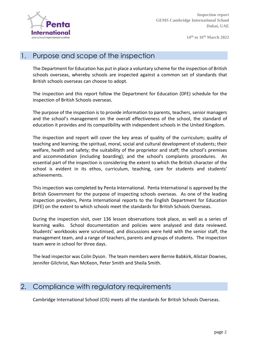

#### 1. Purpose and scope of the inspection

The Department for Education has put in place a voluntary scheme for the inspection of British schools overseas, whereby schools are inspected against a common set of standards that British schools overseas can choose to adopt.

The inspection and this report follow the Department for Education (DFE) schedule for the inspection of British Schools overseas.

The purpose of the inspection is to provide information to parents, teachers, senior managers and the school's management on the overall effectiveness of the school, the standard of education it provides and its compatibility with independent schools in the United Kingdom.

The inspection and report will cover the key areas of quality of the curriculum; quality of teaching and learning; the spiritual, moral, social and cultural development of students; their welfare, health and safety; the suitability of the proprietor and staff; the school's premises and accommodation (including boarding); and the school's complaints procedures. An essential part of the inspection is considering the extent to which the British character of the school is evident in its ethos, curriculum, teaching, care for students and students' achievements.

This inspection was completed by Penta International. Penta International is approved by the British Government for the purpose of inspecting schools overseas. As one of the leading inspection providers, Penta International reports to the English Department for Education (DFE) on the extent to which schools meet the standards for British Schools Overseas.

During the inspection visit, over 136 lesson observations took place, as well as a series of learning walks. School documentation and policies were analysed and data reviewed. Students' workbooks were scrutinised, and discussions were held with the senior staff, the management team, and a range of teachers, parents and groups of students. The inspection team were in school for three days.

The lead inspector was Colin Dyson. The team members were Bernie Babkirk, Alistair Downes, Jennifer Gilchrist, Nan McKeon, Peter Smith and Sheila Smith.

#### 2. Compliance with regulatory requirements

Cambridge International School (CIS) meets all the standards for British Schools Overseas.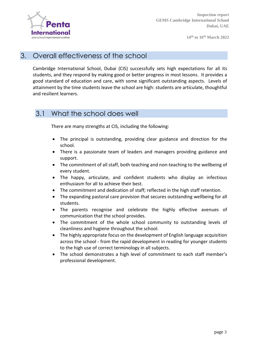

#### 3. Overall effectiveness of the school

Cambridge International School, Dubai (CIS) successfully sets high expectations for all its students, and they respond by making good or better progress in most lessons. It provides a good standard of education and care, with some significant outstanding aspects. Levels of attainment by the time students leave the school are high: students are articulate, thoughtful and resilient learners.

#### 3.1 What the school does well

There are many strengths at CIS, including the following:

- The principal is outstanding, providing clear guidance and direction for the school.
- There is a passionate team of leaders and managers providing guidance and support.
- The commitment of all staff, both teaching and non-teaching to the wellbeing of every student.
- The happy, articulate, and confident students who display an infectious enthusiasm for all to achieve their best.
- The commitment and dedication of staff; reflected in the high staff retention.
- The expanding pastoral care provision that secures outstanding wellbeing for all students.
- The parents recognise and celebrate the highly effective avenues of communication that the school provides.
- The commitment of the whole school community to outstanding levels of cleanliness and hygiene throughout the school.
- The highly appropriate focus on the development of English language acquisition across the school - from the rapid development in reading for younger students to the high use of correct terminology in all subjects.
- The school demonstrates a high level of commitment to each staff member's professional development.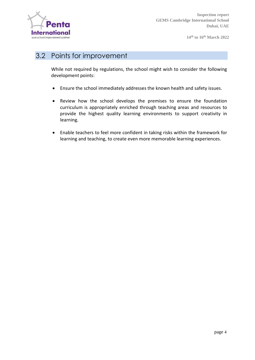

#### 3.2 Points for improvement

While not required by regulations, the school might wish to consider the following development points:

- Ensure the school immediately addresses the known health and safety issues.
- Review how the school develops the premises to ensure the foundation curriculum is appropriately enriched through teaching areas and resources to provide the highest quality learning environments to support creativity in learning.
- Enable teachers to feel more confident in taking risks within the framework for learning and teaching, to create even more memorable learning experiences.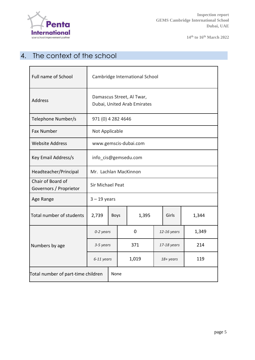

# 4. The context of the school

| Full name of School                         | Cambridge International School                           |             |             |       |             |  |       |
|---------------------------------------------|----------------------------------------------------------|-------------|-------------|-------|-------------|--|-------|
| <b>Address</b>                              | Damascus Street, Al Twar,<br>Dubai, United Arab Emirates |             |             |       |             |  |       |
| Telephone Number/s                          | 971 (0) 4 282 4646                                       |             |             |       |             |  |       |
| <b>Fax Number</b>                           | Not Applicable                                           |             |             |       |             |  |       |
| <b>Website Address</b>                      | www.gemscis-dubai.com                                    |             |             |       |             |  |       |
| Key Email Address/s                         | info_cis@gemsedu.com                                     |             |             |       |             |  |       |
| Headteacher/Principal                       | Mr. Lachlan MacKinnon                                    |             |             |       |             |  |       |
| Chair of Board of<br>Governors / Proprietor | <b>Sir Michael Peat</b>                                  |             |             |       |             |  |       |
| Age Range                                   | $3 - 19$ years                                           |             |             |       |             |  |       |
| Total number of students                    | 2,739                                                    | <b>Boys</b> |             | 1,395 | Girls       |  | 1,344 |
|                                             | 0-2 years                                                |             | $\mathbf 0$ |       | 12-16 years |  | 1,349 |
| Numbers by age                              | 3-5 years                                                |             | 371         |       | 17-18 years |  | 214   |
|                                             | 6-11 years                                               |             | 1,019       |       | 18+ years   |  | 119   |
| Total number of part-time children          |                                                          |             | None        |       |             |  |       |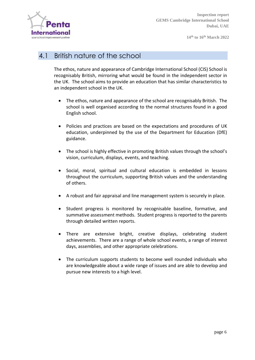

#### 4.1 British nature of the school

The ethos, nature and appearance of Cambridge International School (CIS) School is recognisably British, mirroring what would be found in the independent sector in the UK. The school aims to provide an education that has similar characteristics to an independent school in the UK.

- The ethos, nature and appearance of the school are recognisably British. The school is well organised according to the normal structures found in a good English school.
- Policies and practices are based on the expectations and procedures of UK education, underpinned by the use of the Department for Education (DfE) guidance.
- The school is highly effective in promoting British values through the school's vision, curriculum, displays, events, and teaching.
- Social, moral, spiritual and cultural education is embedded in lessons throughout the curriculum, supporting British values and the understanding of others.
- A robust and fair appraisal and line management system is securely in place.
- Student progress is monitored by recognisable baseline, formative, and summative assessment methods. Student progress is reported to the parents through detailed written reports.
- There are extensive bright, creative displays, celebrating student achievements. There are a range of whole school events, a range of interest days, assemblies, and other appropriate celebrations.
- The curriculum supports students to become well rounded individuals who are knowledgeable about a wide range of issues and are able to develop and pursue new interests to a high level.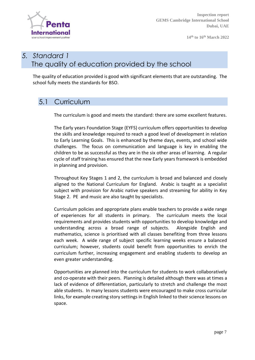

**Inspection report GEMS Cambridge International School Dubai, UAE**

**14th to 16th March 2022**

# *5. Standard 1* The quality of education provided by the school

The quality of education provided is good with significant elements that are outstanding. The school fully meets the standards for BSO.

#### 5.1 Curriculum

The curriculum is good and meets the standard: there are some excellent features.

The Early years Foundation Stage (EYFS) curriculum offers opportunities to develop the skills and knowledge required to reach a good level of development in relation to Early Learning Goals. This is enhanced by theme days, events, and school wide challenges. The focus on communication and language is key in enabling the children to be as successful as they are in the six other areas of learning. A regular cycle of staff training has ensured that the new Early years framework is embedded in planning and provision.

Throughout Key Stages 1 and 2, the curriculum is broad and balanced and closely aligned to the National Curriculum for England. Arabic is taught as a specialist subject with provision for Arabic native speakers and streaming for ability in Key Stage 2. PE and music are also taught by specialists.

Curriculum policies and appropriate plans enable teachers to provide a wide range of experiences for all students in primary. The curriculum meets the local requirements and provides students with opportunities to develop knowledge and understanding across a broad range of subjects. Alongside English and mathematics, science is prioritised with all classes benefiting from three lessons each week. A wide range of subject specific learning weeks ensure a balanced curriculum; however, students could benefit from opportunities to enrich the curriculum further, increasing engagement and enabling students to develop an even greater understanding.

Opportunities are planned into the curriculum for students to work collaboratively and co-operate with their peers. Planning is detailed although there was at times a lack of evidence of differentiation, particularly to stretch and challenge the most able students. In many lessons students were encouraged to make cross curricular links, for example creating story settings in English linked to their science lessons on space.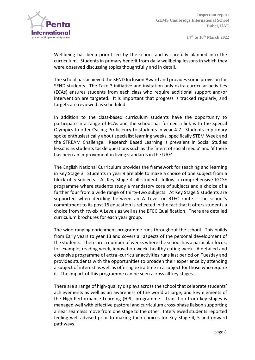

Wellbeing has been prioritised by the school and is carefully planned into the curriculum. Students in primary benefit from daily wellbeing lessons in which they were observed discussing topics thoughtfully and in detail.

The school has achieved the SEND Inclusion Award and provides some provision for SEND students. The Take 3 initiative and invitation only extra-curricular activities (ECAs) ensures students from each class who require additional support and/or intervention are targeted. It is important that progress is tracked regularly, and targets are reviewed as scheduled.

In addition to the class-based curriculum students have the opportunity to participate in a range of ECAs and the school has formed a link with the Special Olympics to offer Cycling Proficiency to students in year 4-7. Students in primary spoke enthusiastically about specialist learning weeks, specifically STEM Week and the STREAM Challenge. Research Based Learning is prevalent in Social Studies lessons as students tackle questions such as the 'merit of social media' and 'if there has been an improvement in living standards in the UAE'.

The English National Curriculum provides the framework for teaching and learning in Key Stage 3. Students in year 9 are able to make a choice of one subject from a block of 5 subjects. At Key Stage 4 all students follow a comprehensive IGCSE programme where students study a mandatory core of subjects and a choice of a further four from a wide range of thirty-two subjects. At Key Stage 5 students are supported when deciding between an A Level or BTEC route. The school's commitment to its post 16 education is reflected in the fact that it offers students a choice from thirty-six A Levels as well as the BTEC Qualification. There are detailed curriculum brochures for each year group.

The wide-ranging enrichment programme runs throughout the school. This builds from Early years to year 13 and covers all aspects of the personal development of the students. There are a number of weeks where the school has a particular focus; for example, reading week, innovation week, healthy eating week. A detailed and extensive programme of extra -curricular activities runs last period on Tuesday and provides students with the opportunities to broaden their experience by attending a subject of interest as well as offering extra time in a subject for those who require it. The impact of this programme can be seen across all key stages.

There are a range of high-quality displays across the school that celebrate students' achievements as well as an awareness of the world at large, and key elements of the High-Performance Learning (HPL) programme. Transition from key stages is managed well with effective pastoral and curriculum cross-phase liaison supporting a near seamless move from one stage to the other. Interviewed students reported feeling well advised prior to making their choices for Key Stage 4, 5 and onward pathways.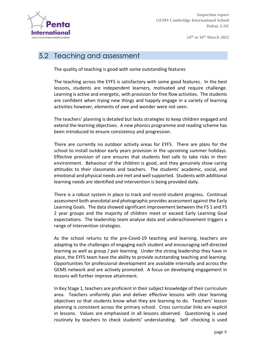

# 5.2 Teaching and assessment

The quality of teaching is good with some outstanding features

The teaching across the EYFS is satisfactory with some good features. In the best lessons, students are independent learners, motivated and require challenge. Learning is active and energetic, with provision for free flow activities. The students are confident when trying new things and happily engage in a variety of learning activities however, elements of awe and wonder were not seen.

The teachers' planning is detailed but lacks strategies to keep children engaged and extend the learning objectives. A new phonics programme and reading scheme has been introduced to ensure consistency and progression.

There are currently no outdoor activity areas for EYFS. There are plans for the school to install outdoor early years provision in the upcoming summer holidays. Effective provision of care ensures that students feel safe to take risks in their environment. Behaviour of the children is good, and they genuinely show caring attitudes to their classmates and teachers. The students' academic, social, and emotional and physical needs are met and wellsupported. Students with additional learning needs are identified and intervention is being provided daily.

There is a robust system in place to track and record student progress. Continual assessment both anecdotal and photographic provides assessment against the Early Learning Goals. The data showed significant improvement between the FS 1 and FS 2 year groups and the majority of children meet or exceed Early Learning Goal expectations. The leadership team analyse data and underachievement triggers a range of intervention strategies.

As the school returns to the pre-Covid-19 teaching and learning, teachers are adapting to the challenges of engaging each student and encouraging self-directed learning as well as group / pair learning. Under the strong leadership they have in place, the EYFS team have the ability to provide outstanding teaching and learning. Opportunities for professional development are available internally and across the GEMS network and are actively promoted. A focus on developing engagement in lessons will further improve attainment.

In Key Stage 1, teachers are proficient in their subject knowledge of their curriculum area. Teachers uniformly plan and deliver effective lessons with clear learning objectives so that students know what they are learning to do. Teachers' lesson planning is consistent across the primary school. Cross curricular links are explicit in lessons. Values are emphasised in all lessons observed. Questioning is used routinely by teachers to check students' understanding. Self -checking is used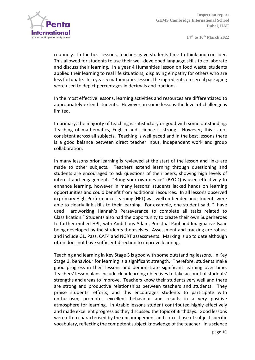routinely. In the best lessons, teachers gave students time to think and consider. This allowed for students to use their well-developed language skills to collaborate and discuss their learning. In a year 4 Humanities lesson on food waste, students applied their learning to real life situations, displaying empathy for others who are less fortunate. In a year 5 mathematics lesson, the ingredients on cereal packaging were used to depict percentages in decimals and fractions.

In the most effective lessons, learning activities and resources are differentiated to appropriately extend students. However, in some lessons the level of challenge is limited.

In primary, the majority of teaching is satisfactory or good with some outstanding. Teaching of mathematics, English and science is strong. However, this is not consistent across all subjects. Teaching is well paced and in the best lessons there is a good balance between direct teacher input, independent work and group collaboration.

In many lessons prior learning is reviewed at the start of the lesson and links are made to other subjects. Teachers extend learning through questioning and students are encouraged to ask questions of their peers, showing high levels of interest and engagement. "Bring your own device" (BYOD) is used effectively to enhance learning, however in many lessons' students lacked hands on learning opportunities and could benefit from additional resources. In all lessons observed in primary High-Performance Learning (HPL) was well embedded and students were able to clearly link skills to their learning. For example, one student said, "I have used Hardworking Hannah's Perseverance to complete all tasks related to Classification." Students also had the opportunity to create their own Superheroes to further embed HPL, with Ambitious Adam, Punctual Paul and Imaginative Isaac being developed by the students themselves. Assessment and tracking are robust and include GL, Pass, CAT4 and NGRT assessments. Marking is up to date although often does not have sufficient direction to improve learning.

Teaching and learning in Key Stage 3 is good with some outstanding lessons. In Key Stage 3, behaviour for learning is a significant strength. Therefore, students make good progress in their lessons and demonstrate significant learning over time. Teachers' lesson plans include clear learning objectives to take account of students' strengths and areas to improve. Teachers know their students very well and there are strong and productive relationships between teachers and students. They praise students' efforts, and this encourages students to participate with enthusiasm, promotes excellent behaviour and results in a very positive atmosphere for learning. In Arabic lessons student contributed highly effectively and made excellent progress as they discussed the topic of Birthdays. Good lessons were often characterised by the encouragement and correct use of subject specific vocabulary, reflecting the competentsubject knowledge ofthe teacher. In a science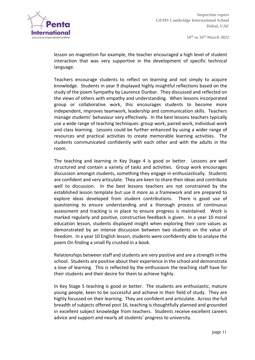

lesson on magnetism for example, the teacher encouraged a high level of student interaction that was very supportive in the development of specific technical language.

Teachers encourage students to reflect on learning and not simply to acquire knowledge. Students in year 9 displayed highly insightful reflections based on the study of the poem Sympathy by Laurence Dunbar. They discussed and reflected on the views of others with empathy and understanding. When lessons incorporated group or collaborative work, this encourages students to become more independent, improves teamwork, leadership and communication skills. Teachers manage students' behaviour very effectively. In the best lessons teachers typically use a wide range of teaching techniques: group work, paired work, individual work and class learning. Lessons could be further enhanced by using a wider range of resources and practical activities to create memorable learning activities. The students communicated confidently with each other and with the adults in the room.

The teaching and learning in Key Stage 4 is good or better. Lessons are well structured and contain a variety of tasks and activities. Group work encourages discussion amongst students, something they engage in enthusiastically. Students are confident and very articulate. They are keen to share their ideas and contribute well to discussion. In the best lessons teachers are not constrained by the established lesson template but use it more as a framework and are prepared to explore ideas developed from student contributions. There is good use of questioning to ensure understanding and a thorough process of continuous assessment and tracking is in place to ensure progress is maintained. Work is marked regularly and positive, constructive feedback is given. In a year 10 moral education lesson, students displayed insight when exploring their core values as demonstrated by an intense discussion between two students on the value of freedom. In a year 10 English lesson, students were confidently able to analyse the poem On finding a small fly crushed in a book.

Relationships between staff and students are very positive and are a strength in the school. Students are positive about their experience in the school and demonstrate a love of learning. This is reflected by the enthusiasm the teaching staff have for their students and their desire for them to achieve highly.

In Key Stage 5 teaching is good or better. The students are enthusiastic, mature young people, keen to be successful and achieve in their field of study. They are highly focussed on their learning. They are confident and articulate. Across the full breadth ofsubjects offered post 16, teaching is thoughtfully planned and grounded in excellent subject knowledge from teachers. Students receive excellent careers advice and support and nearly all students' progress to university.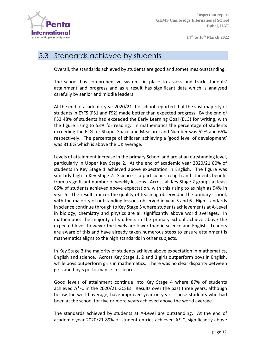

#### 5.3 Standards achieved by students

Overall, the standards achieved by students are good and sometimes outstanding.

The school has comprehensive systems in place to assess and track students' attainment and progress and as a result has significant data which is analysed carefully by senior and middle leaders.

At the end of academic year 2020/21 the school reported that the vast majority of students in EYFS (FS1 and FS2) made better than expected progress. By the end of FS2 48% of students had exceeded the Early Learning Goal (ELG) for writing, with the figure rising to 53% for reading. In mathematics the percentage of students exceeding the ELG for Shape, Space and Measure; and Number was 52% and 65% respectively. The percentage of children achieving a 'good level of development' was 81.6% which is above the UK average.

Levels of attainment increase in the primary School and are at an outstanding level, particularly in Upper Key Stage 2. At the end of academic year 2020/21 80% of students in Key Stage 1 achieved above expectation in English. The figure was similarly high in Key Stage 2. Science is a particular strength and students benefit from a significant number of weekly lessons. Across all Key Stage 2 groups at least 85% of students achieved above expectation, with this rising to as high as 94% in year 5. The results mirror the quality of teaching observed in the primary school, with the majority of outstanding lessons observed in year 5 and 6. High standards in science continue through to Key Stage 5 where students achievements at A-Level in biology, chemistry and physics are all significantly above world averages. In mathematics the majority of students in the primary School achieve above the expected level, however the levels are lower than in science and English. Leaders are aware of this and have already taken numerous steps to ensure attainment is mathematics aligns to the high standards in other subjects.

In Key Stage 3 the majority of students achieve above expectation in mathematics, English and science. Across Key Stage 1, 2 and 3 girls outperform boys in English, while boys outperform girls in mathematics. There was no clear disparity between girls and boy's performance in science.

Good levels of attainment continue into Key Stage 4 where 87% of students achieved A\*-C in the 2020/21 GCSEs. Results over the past three years, although below the world average, have improved year on year. Those students who had been at the school for five or more years achieved above the world average.

The standards achieved by students at A-Level are outstanding. At the end of academic year 2020/21 89% of student entries achieved A\*-C, significantly above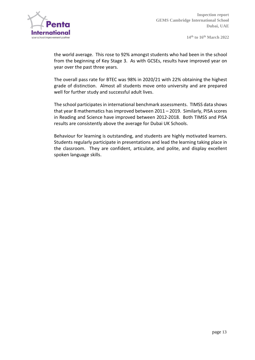

the world average. This rose to 92% amongst students who had been in the school from the beginning of Key Stage 3. As with GCSEs, results have improved year on year over the past three years.

The overall pass rate for BTEC was 98% in 2020/21 with 22% obtaining the highest grade of distinction. Almost all students move onto university and are prepared well for further study and successful adult lives.

The school participates in international benchmark assessments. TIMSS data shows that year 8 mathematics has improved between 2011 – 2019. Similarly, PISA scores in Reading and Science have improved between 2012-2018. Both TIMSS and PISA results are consistently above the average for Dubai UK Schools.

Behaviour for learning is outstanding, and students are highly motivated learners. Students regularly participate in presentations and lead the learning taking place in the classroom. They are confident, articulate, and polite, and display excellent spoken language skills.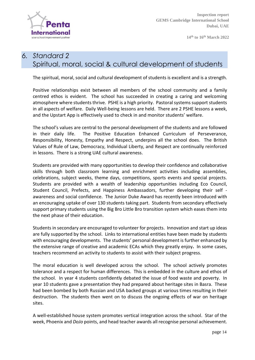

# *6. Standard 2* Spiritual, moral, social & cultural development of students

The spiritual, moral, social and cultural development of students is excellent and is a strength.

Positive relationships exist between all members of the school community and a family centred ethos is evident. The school has succeeded in creating a caring and welcoming atmosphere where students thrive. PSHE is a high priority. Pastoral systems support students in all aspects of welfare. Daily Well-being lessons are held. There are 2 PSHE lessons a week, and the Upstart App is effectively used to check in and monitor students' welfare.

The school's values are central to the personal development of the students and are followed in their daily life. The Positive Education Enhanced Curriculum of Perseverance, Responsibility, Honesty, Empathy and Respect, underpins all the school does. The British Values of Rule of Law, Democracy, Individual Liberty, and Respect are continually reinforced in lessons. There is a strong UAE cultural awareness.

Students are provided with many opportunities to develop their confidence and collaborative skills through both classroom learning and enrichment activities including assemblies, celebrations, subject weeks, theme days, competitions, sports events and special projects. Students are provided with a wealth of leadership opportunities including Eco Council, Student Council, Prefects, and Happiness Ambassadors, further developing their self awareness and social confidence. The Junior Duke Award has recently been introduced with an encouraging uptake of over 130 students taking part. Students from secondary effectively support primary students using the Big Bro Little Bro transition system which eases them into the next phase of their education.

Students in secondary are encouraged to volunteer for projects. Innovation and start up ideas are fully supported by the school. Links to international entities have been made by students with encouraging developments. The students' personal development is further enhanced by the extensive range of creative and academic ECAs which they greatly enjoy**.** In some cases, teachers recommend an activity to students to assist with their subject progress.

The moral education is well developed across the school. The school actively promotes tolerance and a respect for human differences. This is embedded in the culture and ethos of the school. In year 4 students confidently debated the issue of food waste and poverty. In year 10 students gave a presentation they had prepared about heritage sites in Basra. These had been bombed by both Russian and USA backed groups at various times resulting in their destruction. The students then went on to discuss the ongoing effects of war on heritage sites.

A well-established house system promotes vertical integration across the school. Star of the week, Phoenix and *DoJo* points, and head teacher awards all recognise personal achievement.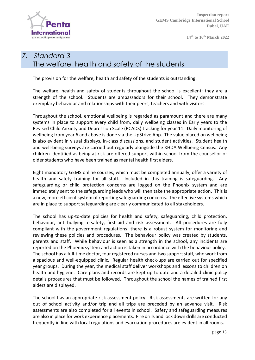

**Inspection report GEMS Cambridge International School Dubai, UAE**

**14th to 16th March 2022**

# *7. Standard 3* The welfare, health and safety of the students

The provision for the welfare, health and safety of the students is outstanding.

The welfare, health and safety of students throughout the school is excellent: they are a strength of the school. Students are ambassadors for their school. They demonstrate exemplary behaviour and relationships with their peers, teachers and with visitors.

Throughout the school, emotional wellbeing is regarded as paramount and there are many systems in place to support every child from, daily wellbeing classes in Early years to the Revised Child Anxiety and Depression Scale (RCADS) tracking for year 11. Daily monitoring of wellbeing from year 6 and above is done via the UpStrive App. The value placed on wellbeing is also evident in visual displays, in-class discussions, and student activities. Student health and well-being surveys are carried out regularly alongside the KHDA Wellbeing Census. Any children identified as being at risk are offered support within school from the counsellor or older students who have been trained as mental health first aiders.

Eight mandatory GEMS online courses, which must be completed annually, offer a variety of health and safety training for all staff. Included in this training is safeguarding. Any safeguarding or child protection concerns are logged on the Phoenix system and are immediately sent to the safeguarding leads who will then take the appropriate action. This is a new, more efficient system of reporting safeguarding concerns. The effective systems which are in place to support safeguarding are clearly communicated to all stakeholders.

The school has up-to-date policies for health and safety, safeguarding, child protection, behaviour, anti-bullying, e-safety, first aid and risk assessment. All procedures are fully compliant with the government regulations: there is a robust system for monitoring and reviewing these policies and procedures. The behaviour policy was created by students, parents and staff. While behaviour is seen as a strength in the school, any incidents are reported on the Phoenix system and action is taken in accordance with the behaviour policy. The school has a full-time doctor, four registered nurses and two support staff, who work from a spacious and well-equipped clinic. Regular health check-ups are carried out for specified year groups. During the year, the medical staff deliver workshops and lessons to children on health and hygiene. Care plans and records are kept up to date and a detailed clinic policy details procedures that must be followed. Throughout the school the names of trained first aiders are displayed.

The school has an appropriate risk assessment policy. Risk assessments are written for any out of school activity and/or trip and all trips are preceded by an advance visit. Risk assessments are also completed for all events in school. Safety and safeguarding measures are also in place for work experience placements. Fire drills and lock down drills are conducted frequently in line with local regulations and evacuation procedures are evident in all rooms.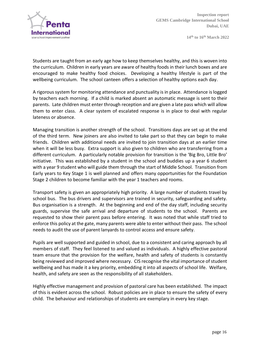

Students are taught from an early age how to keep themselves healthy, and this is woven into the curriculum. Children in early years are aware of healthy foods in their lunch boxes and are encouraged to make healthy food choices. Developing a healthy lifestyle is part of the wellbeing curriculum. The school canteen offers a selection of healthy options each day.

A rigorous system for monitoring attendance and punctuality isin place. Attendance islogged by teachers each morning. If a child is marked absent an automatic message is sent to their parents. Late children must enter through reception and are given a late pass which will allow them to enter class. A clear system of escalated response is in place to deal with regular lateness or absence.

Managing transition is another strength of the school. Transitions days are set up at the end of the third term. New joiners are also invited to take part so that they can begin to make friends. Children with additional needs are invited to join transition days at an earlier time when it will be less busy. Extra support is also given to children who are transferring from a different curriculum. A particularly notable provision for transition is the 'Big Bro, Little Bro' initiative. This was established by a student in the school and buddies up a year 6 student with a year 9 student who will guide them through the start of Middle School. Transition from Early years to Key Stage 1 is well planned and offers many opportunities for the Foundation Stage 2 children to become familiar with the year 1 teachers and rooms.

Transport safety is given an appropriately high priority. A large number of students travel by school bus. The bus drivers and supervisors are trained in security, safeguarding and safety. Bus organisation is a strength. At the beginning and end of the day staff, including security guards, supervise the safe arrival and departure of students to the school. Parents are requested to show their parent pass before entering. It was noted that while staff tried to enforce this policy at the gate, many parents were able to enter without their pass. The school needs to audit the use of parent lanyards to control access and ensure safety.

Pupils are well supported and guided in school, due to a consistent and caring approach by all members of staff. They feel listened to and valued as individuals. A highly effective pastoral team ensure that the provision for the welfare, health and safety of students is constantly being reviewed and improved where necessary. CIS recognise the vital importance of student wellbeing and has made it a key priority, embedding it into all aspects of school life. Welfare, health, and safety are seen as the responsibility of all stakeholders.

Highly effective management and provision of pastoral care has been established. The impact of this is evident across the school. Robust policies are in place to ensure the safety of every child. The behaviour and relationships of students are exemplary in every key stage.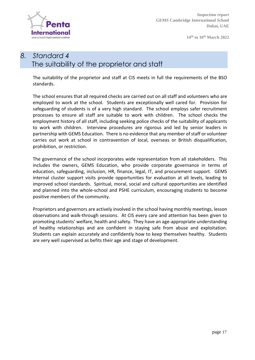

**Inspection report GEMS Cambridge International School Dubai, UAE**

**14th to 16th March 2022**

# *8. Standard 4* The suitability of the proprietor and staff

The suitability of the proprietor and staff at CIS meets in full the requirements of the BSO standards.

The school ensures that all required checks are carried out on all staff and volunteers who are employed to work at the school. Students are exceptionally well cared for. Provision for safeguarding of students is of a very high standard. The school employs safer recruitment processes to ensure all staff are suitable to work with children. The school checks the employment history of all staff, including seeking police checks of the suitability of applicants to work with children. Interview procedures are rigorous and led by senior leaders in partnership with GEMS Education. There is no evidence that any member ofstaff or volunteer carries out work at school in contravention of local, overseas or British disqualification, prohibition, or restriction.

The governance of the school incorporates wide representation from all stakeholders. This includes the owners, GEMS Education, who provide corporate governance in terms of education, safeguarding, inclusion, HR, finance, legal, IT, and procurement support. GEMS internal cluster support visits provide opportunities for evaluation at all levels, leading to improved school standards. Spiritual, moral, social and cultural opportunities are identified and planned into the whole-school and PSHE curriculum, encouraging students to become positive members of the community.

Proprietors and governors are actively involved in the school having monthly meetings, lesson observations and walk-through sessions. At CIS every care and attention has been given to promoting students' welfare, health and safety. They have an age-appropriate understanding of healthy relationships and are confident in staying safe from abuse and exploitation. Students can explain accurately and confidently how to keep themselves healthy. Students are very well supervised as befits their age and stage of development.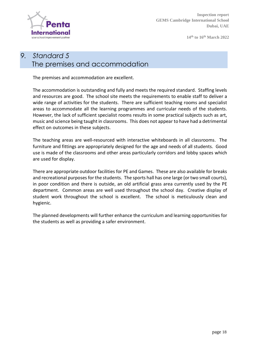

# *9. Standard 5* The premises and accommodation

The premises and accommodation are excellent.

The accommodation is outstanding and fully and meets the required standard. Staffing levels and resources are good. The school site meets the requirements to enable staff to deliver a wide range of activities for the students. There are sufficient teaching rooms and specialist areas to accommodate all the learning programmes and curricular needs of the students. However, the lack of sufficient specialist rooms results in some practical subjects such as art, music and science being taught in classrooms. This does not appear to have had a detrimental effect on outcomes in these subjects.

The teaching areas are well-resourced with interactive whiteboards in all classrooms. The furniture and fittings are appropriately designed for the age and needs of all students. Good use is made of the classrooms and other areas particularly corridors and lobby spaces which are used for display.

There are appropriate outdoor facilities for PE and Games. These are also available for breaks and recreational purposes for the students. The sports hall has one large (or two small courts), in poor condition and there is outside, an old artificial grass area currently used by the PE department. Common areas are well used throughout the school day. Creative display of student work throughout the school is excellent. The school is meticulously clean and hygienic.

The planned developments will further enhance the curriculum and learning opportunities for the students as well as providing a safer environment.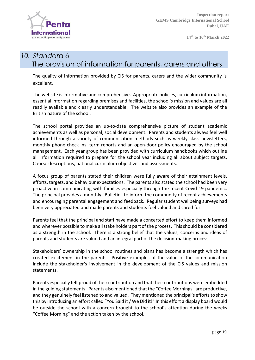

#### *10. Standard 6* The provision of information for parents, carers and others

The quality of information provided by CIS for parents, carers and the wider community is excellent.

The website is informative and comprehensive. Appropriate policies, curriculum information, essential information regarding premises and facilities, the school's mission and values are all readily available and clearly understandable. The website also provides an example of the British nature of the school.

The school portal provides an up-to-date comprehensive picture of student academic achievements as well as personal, social development. Parents and students always feel well informed through a variety of communication methods such as weekly class newsletters, monthly phone check ins, term reports and an open-door policy encouraged by the school management. Each year group has been provided with curriculum handbooks which outline all information required to prepare for the school year including all about subject targets, Course descriptions, national curriculum objectives and assessments.

A focus group of parents stated their children were fully aware of their attainment levels, efforts, targets, and behaviour expectations. The parents also stated the school had been very proactive in communicating with families especially through the recent Covid-19 pandemic. The principal provides a monthly "Bulletin" to inform the community of recent achievements and encouraging parental engagement and feedback. Regular student wellbeing surveys had been very appreciated and made parents and students feel valued and cared for.

Parents feel that the principal and staff have made a concerted effort to keep them informed and wherever possible to make all stake holders part of the process. This should be considered as a strength in the school. There is a strong belief that the values, concerns and ideas of parents and students are valued and an integral part of the decision-making process.

Stakeholders' ownership in the school routines and plans has become a strength which has created excitement in the parents. Positive examples of the value of the communication include the stakeholder's involvement in the development of the CIS values and mission statements.

Parents especially felt proud of their contribution and that their contributions were embedded in the guiding statements. Parents also mentioned that the "Coffee Mornings" are productive, and they genuinely feel listened to and valued. They mentioned the principal's efforts to show this by introducing an effort called "You Said it/ We Did it!" In this effort a display board would be outside the school with a concern brought to the school's attention during the weeks "Coffee Morning" and the action taken by the school.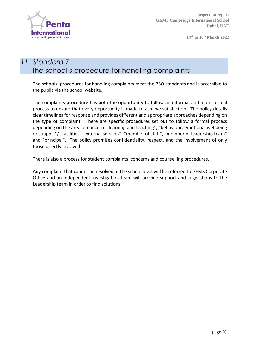

# *11. Standard 7* The school's procedure for handling complaints

The schools' procedures for handling complaints meet the BSO standards and is accessible to the public via the school website.

The complaints procedure has both the opportunity to follow an informal and more formal process to ensure that every opportunity is made to achieve satisfaction. The policy details clear timelines for response and provides different and appropriate approaches depending on the type of complaint. There are specific procedures set out to follow a formal process depending on the area of concern: "learning and teaching", "behaviour, emotional wellbeing or support"/ "facilities – external services", "member of staff", "member of leadership team" and "principal". The policy promises confidentiality, respect, and the involvement of only those directly involved.

There is also a process for student complaints, concerns and counselling procedures.

Any complaint that cannot be resolved at the school level will be referred to GEMS Corporate Office and an independent investigation team will provide support and suggestions to the Leadership team in order to find solutions.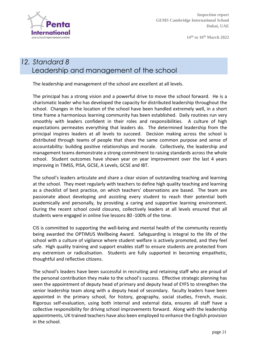

# *12. Standard 8* Leadership and management of the school

The leadership and management of the school are excellent at all levels.

The principal has a strong vision and a powerful drive to move the school forward. He is a charismatic leader who has developed the capacity for distributed leadership throughout the school. Changes in the location of the school have been handled extremely well, in a short time frame a harmonious learning community has been established. Daily routines run very smoothly with leaders confident in their roles and responsibilities. A culture of high expectations permeates everything that leaders do. The determined leadership from the principal inspires leaders at all levels to succeed. Decision making across the school is distributed through teams of people that share the same common purpose and sense of accountability: building positive relationships and morale. Collectively, the leadership and management teams demonstrate a strong commitment to raising standards across the whole school. Student outcomes have shown year on year improvement over the last 4 years improving in TIMSS, PISA, GCSE, A Levels, GCSE and IBT.

The school's leaders articulate and share a clear vision of outstanding teaching and learning at the school. They meet regularly with teachers to define high quality teaching and learning as a checklist of best practice, on which teachers' observations are based. The team are passionate about developing and assisting every student to reach their potential both academically and personally, by providing a caring and supportive learning environment. During the recent school covid closures, collectively leaders at all levels ensured that all students were engaged in online live lessons 80 -100% of the time.

CIS is committed to supporting the well-being and mental health of the community recently being awarded the OPTIMUS Wellbeing Award. Safeguarding is integral to the life of the school with a culture of vigilance where student welfare is actively promoted, and they feel safe. High quality training and support enables staff to ensure students are protected from any extremism or radicalisation. Students are fully supported in becoming empathetic, thoughtful and reflective citizens.

The school's leaders have been successful in recruiting and retaining staff who are proud of the personal contribution they make to the school's success. Effective strategic planning has seen the appointment of deputy head of primary and deputy head of EYFS to strengthen the senior leadership team along with a deputy head of secondary. faculty leaders have been appointed in the primary school, for history, geography, social studies, French, music. Rigorous self-evaluation, using both internal and external data, ensures all staff have a collective responsibility for driving school improvements forward. Along with the leadership appointments, UK trained teachers have also been employed to enhance the English provision in the school.